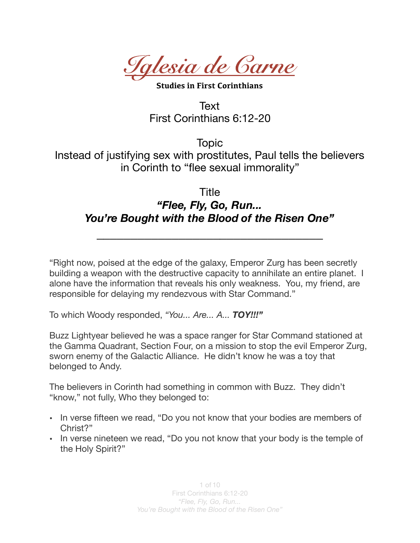*Iglesia de Carne* 

**Studies in First Corinthians** 

Text First Corinthians 6:12-20

Topic Instead of justifying sex with prostitutes, Paul tells the believers in Corinth to "flee sexual immorality"

## Title

## *"Flee, Fly, Go, Run... You're Bought with the Blood of the Risen One"*

*\_\_\_\_\_\_\_\_\_\_\_\_\_\_\_\_\_\_\_\_\_\_\_\_\_\_\_\_\_\_\_\_\_* 

"Right now, poised at the edge of the galaxy, Emperor Zurg has been secretly building a weapon with the destructive capacity to annihilate an entire planet. I alone have the information that reveals his only weakness. You, my friend, are responsible for delaying my rendezvous with Star Command."

To which Woody responded, *"You... Are... A... TOY!!!"*

Buzz Lightyear believed he was a space ranger for Star Command stationed at the Gamma Quadrant, Section Four, on a mission to stop the evil Emperor Zurg, sworn enemy of the Galactic Alliance. He didn't know he was a toy that belonged to Andy.

The believers in Corinth had something in common with Buzz. They didn't "know," not fully, Who they belonged to:

- In verse fifteen we read, "Do you not know that your bodies are members of Christ?"
- In verse nineteen we read, "Do you not know that your body is the temple of the Holy Spirit?"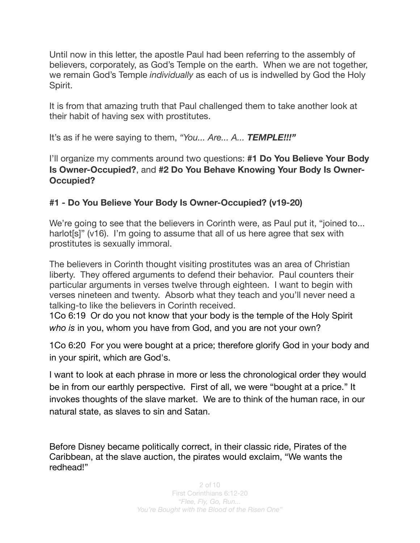Until now in this letter, the apostle Paul had been referring to the assembly of believers, corporately, as God's Temple on the earth. When we are not together, we remain God's Temple *individually* as each of us is indwelled by God the Holy Spirit.

It is from that amazing truth that Paul challenged them to take another look at their habit of having sex with prostitutes.

It's as if he were saying to them, *"You... Are... A... TEMPLE!!!"*

I'll organize my comments around two questions: **#1 Do You Believe Your Body Is Owner-Occupied?**, and **#2 Do You Behave Knowing Your Body Is Owner-Occupied?** 

## **#1 - Do You Believe Your Body Is Owner-Occupied? (v19-20)**

We're going to see that the believers in Corinth were, as Paul put it, "joined to... harlot[s]" (v16). I'm going to assume that all of us here agree that sex with prostitutes is sexually immoral.

The believers in Corinth thought visiting prostitutes was an area of Christian liberty. They offered arguments to defend their behavior. Paul counters their particular arguments in verses twelve through eighteen. I want to begin with verses nineteen and twenty. Absorb what they teach and you'll never need a talking-to like the believers in Corinth received.

1Co 6:19 Or do you not know that your body is the temple of the Holy Spirit *who is* in you, whom you have from God, and you are not your own?

1Co 6:20 For you were bought at a price; therefore glorify God in your body and in your spirit, which are God's.

I want to look at each phrase in more or less the chronological order they would be in from our earthly perspective. First of all, we were "bought at a price." It invokes thoughts of the slave market. We are to think of the human race, in our natural state, as slaves to sin and Satan.

Before Disney became politically correct, in their classic ride, Pirates of the Caribbean, at the slave auction, the pirates would exclaim, "We wants the redhead!"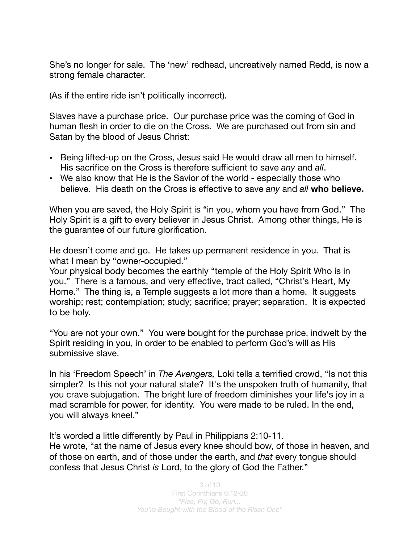She's no longer for sale. The 'new' redhead, uncreatively named Redd, is now a strong female character.

(As if the entire ride isn't politically incorrect).

Slaves have a purchase price. Our purchase price was the coming of God in human flesh in order to die on the Cross. We are purchased out from sin and Satan by the blood of Jesus Christ:

- Being lifted-up on the Cross, Jesus said He would draw all men to himself. His sacrifice on the Cross is therefore sufficient to save *any* and *all*.
- We also know that He is the Savior of the world especially those who believe. His death on the Cross is effective to save *any* and *all* **who believe.**

When you are saved, the Holy Spirit is "in you, whom you have from God." The Holy Spirit is a gift to every believer in Jesus Christ. Among other things, He is the guarantee of our future glorification.

He doesn't come and go. He takes up permanent residence in you. That is what I mean by "owner-occupied."

Your physical body becomes the earthly "temple of the Holy Spirit Who is in you." There is a famous, and very effective, tract called, "Christ's Heart, My Home." The thing is, a Temple suggests a lot more than a home. It suggests worship; rest; contemplation; study; sacrifice; prayer; separation. It is expected to be holy.

"You are not your own." You were bought for the purchase price, indwelt by the Spirit residing in you, in order to be enabled to perform God's will as His submissive slave.

In his 'Freedom Speech' in *The Avengers,* Loki tells a terrified crowd, "Is not this simpler? Is this not your natural state? It's the unspoken truth of humanity, that you crave subjugation. The bright lure of freedom diminishes your life's joy in a mad scramble for power, for identity. You were made to be ruled. In the end, you will always kneel."

It's worded a little differently by Paul in Philippians 2:10-11.

He wrote, "at the name of Jesus every knee should bow, of those in heaven, and of those on earth, and of those under the earth, and *that* every tongue should confess that Jesus Christ *is* Lord, to the glory of God the Father."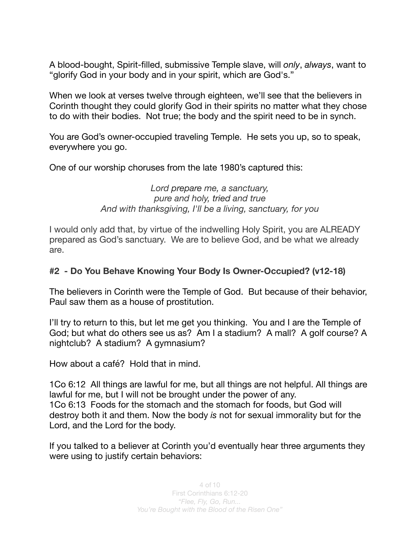A blood-bought, Spirit-filled, submissive Temple slave, will *only*, *always*, want to "glorify God in your body and in your spirit, which are God's."

When we look at verses twelve through eighteen, we'll see that the believers in Corinth thought they could glorify God in their spirits no matter what they chose to do with their bodies. Not true; the body and the spirit need to be in synch.

You are God's owner-occupied traveling Temple. He sets you up, so to speak, everywhere you go.

One of our worship choruses from the late 1980's captured this:

*Lord [prepare](https://www.definitions.net/definition/prepare) me, a sanctuary, pure and holy, [tried](https://www.definitions.net/definition/tried) and true And with thanksgiving, I'll be a living, sanctuary, for you* 

I would only add that, by virtue of the indwelling Holy Spirit, you are ALREADY prepared as God's sanctuary. We are to believe God, and be what we already are.

## **#2 - Do You Behave Knowing Your Body Is Owner-Occupied? (v12-18)**

The believers in Corinth were the Temple of God. But because of their behavior, Paul saw them as a house of prostitution.

I'll try to return to this, but let me get you thinking. You and I are the Temple of God; but what do others see us as? Am I a stadium? A mall? A golf course? A nightclub? A stadium? A gymnasium?

How about a café? Hold that in mind.

1Co 6:12 All things are lawful for me, but all things are not helpful. All things are lawful for me, but I will not be brought under the power of any. 1Co 6:13 Foods for the stomach and the stomach for foods, but God will destroy both it and them. Now the body *is* not for sexual immorality but for the Lord, and the Lord for the body.

If you talked to a believer at Corinth you'd eventually hear three arguments they were using to justify certain behaviors: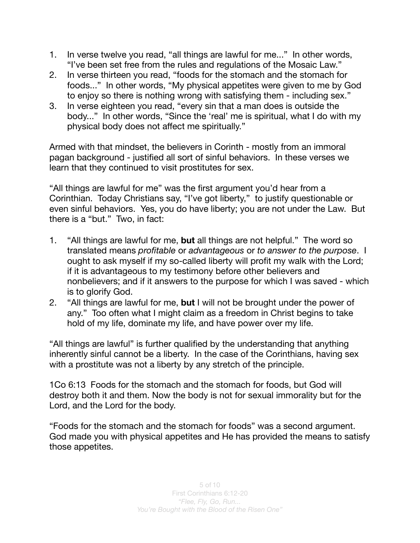- 1. In verse twelve you read, "all things are lawful for me..." In other words, "I've been set free from the rules and regulations of the Mosaic Law."
- 2. In verse thirteen you read, "foods for the stomach and the stomach for foods..." In other words, "My physical appetites were given to me by God to enjoy so there is nothing wrong with satisfying them - including sex."
- 3. In verse eighteen you read, "every sin that a man does is outside the body..." In other words, "Since the 'real' me is spiritual, what I do with my physical body does not affect me spiritually."

Armed with that mindset, the believers in Corinth - mostly from an immoral pagan background - justified all sort of sinful behaviors. In these verses we learn that they continued to visit prostitutes for sex.

"All things are lawful for me" was the first argument you'd hear from a Corinthian. Today Christians say, "I've got liberty," to justify questionable or even sinful behaviors. Yes, you do have liberty; you are not under the Law. But there is a "but." Two, in fact:

- 1. "All things are lawful for me, **but** all things are not helpful." The word so translated means *profitable* or *advantageous* or *to answer to the purpose*. I ought to ask myself if my so-called liberty will profit my walk with the Lord; if it is advantageous to my testimony before other believers and nonbelievers; and if it answers to the purpose for which I was saved - which is to glorify God.
- 2. "All things are lawful for me, **but** I will not be brought under the power of any." Too often what I might claim as a freedom in Christ begins to take hold of my life, dominate my life, and have power over my life.

"All things are lawful" is further qualified by the understanding that anything inherently sinful cannot be a liberty. In the case of the Corinthians, having sex with a prostitute was not a liberty by any stretch of the principle.

1Co 6:13 Foods for the stomach and the stomach for foods, but God will destroy both it and them. Now the body is not for sexual immorality but for the Lord, and the Lord for the body.

"Foods for the stomach and the stomach for foods" was a second argument. God made you with physical appetites and He has provided the means to satisfy those appetites.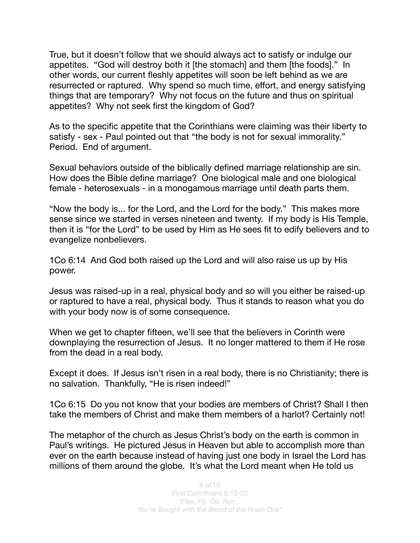True, but it doesn't follow that we should always act to satisfy or indulge our appetites. "God will destroy both it [the stomach] and them [the foods]." In other words, our current fleshly appetites will soon be left behind as we are resurrected or raptured. Why spend so much time, effort, and energy satisfying things that are temporary? Why not focus on the future and thus on spiritual appetites? Why not seek first the kingdom of God?

As to the specific appetite that the Corinthians were claiming was their liberty to satisfy - sex - Paul pointed out that "the body is not for sexual immorality." Period. End of argument.

Sexual behaviors outside of the biblically defined marriage relationship are sin. How does the Bible define marriage? One biological male and one biological female - heterosexuals - in a monogamous marriage until death parts them.

"Now the body is... for the Lord, and the Lord for the body." This makes more sense since we started in verses nineteen and twenty. If my body is His Temple, then it is "for the Lord" to be used by Him as He sees fit to edify believers and to evangelize nonbelievers.

1Co 6:14 And God both raised up the Lord and will also raise us up by His power.

Jesus was raised-up in a real, physical body and so will you either be raised-up or raptured to have a real, physical body. Thus it stands to reason what you do with your body now is of some consequence.

When we get to chapter fifteen, we'll see that the believers in Corinth were downplaying the resurrection of Jesus. It no longer mattered to them if He rose from the dead in a real body.

Except it does. If Jesus isn't risen in a real body, there is no Christianity; there is no salvation. Thankfully, "He is risen indeed!"

1Co 6:15 Do you not know that your bodies are members of Christ? Shall I then take the members of Christ and make them members of a harlot? Certainly not!

The metaphor of the church as Jesus Christ's body on the earth is common in Paul's writings. He pictured Jesus in Heaven but able to accomplish more than ever on the earth because instead of having just one body in Israel the Lord has millions of them around the globe. It's what the Lord meant when He told us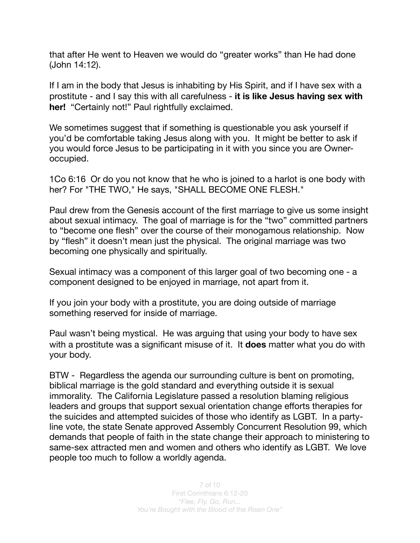that after He went to Heaven we would do "greater works" than He had done (John 14:12).

If I am in the body that Jesus is inhabiting by His Spirit, and if I have sex with a prostitute - and I say this with all carefulness - **it is like Jesus having sex with her!** "Certainly not!" Paul rightfully exclaimed.

We sometimes suggest that if something is questionable you ask yourself if you'd be comfortable taking Jesus along with you. It might be better to ask if you would force Jesus to be participating in it with you since you are Owneroccupied.

1Co 6:16 Or do you not know that he who is joined to a harlot is one body with her? For "THE TWO," He says, "SHALL BECOME ONE FLESH."

Paul drew from the Genesis account of the first marriage to give us some insight about sexual intimacy. The goal of marriage is for the "two" committed partners to "become one flesh" over the course of their monogamous relationship. Now by "flesh" it doesn't mean just the physical. The original marriage was two becoming one physically and spiritually.

Sexual intimacy was a component of this larger goal of two becoming one - a component designed to be enjoyed in marriage, not apart from it.

If you join your body with a prostitute, you are doing outside of marriage something reserved for inside of marriage.

Paul wasn't being mystical. He was arguing that using your body to have sex with a prostitute was a significant misuse of it. It **does** matter what you do with your body.

BTW - Regardless the agenda our surrounding culture is bent on promoting, biblical marriage is the gold standard and everything outside it is sexual immorality. The California Legislature passed a resolution blaming religious leaders and groups that support sexual orientation change efforts therapies for the suicides and attempted suicides of those who identify as LGBT. In a partyline vote, the state Senate approved Assembly Concurrent Resolution 99, which demands that people of faith in the state change their approach to ministering to same-sex attracted men and women and others who identify as LGBT. We love people too much to follow a worldly agenda.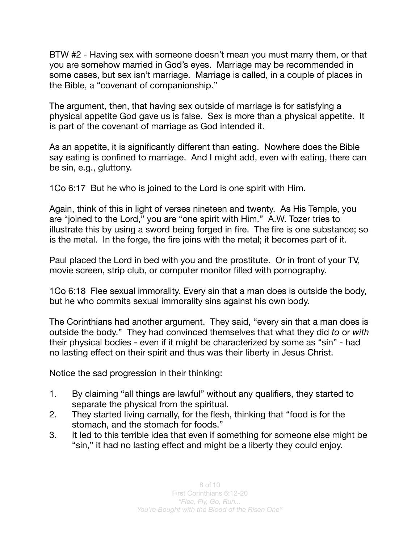BTW #2 - Having sex with someone doesn't mean you must marry them, or that you are somehow married in God's eyes. Marriage may be recommended in some cases, but sex isn't marriage. Marriage is called, in a couple of places in the Bible, a "covenant of companionship."

The argument, then, that having sex outside of marriage is for satisfying a physical appetite God gave us is false. Sex is more than a physical appetite. It is part of the covenant of marriage as God intended it.

As an appetite, it is significantly different than eating. Nowhere does the Bible say eating is confined to marriage. And I might add, even with eating, there can be sin, e.g., gluttony.

1Co 6:17 But he who is joined to the Lord is one spirit with Him.

Again, think of this in light of verses nineteen and twenty. As His Temple, you are "joined to the Lord," you are "one spirit with Him." A.W. Tozer tries to illustrate this by using a sword being forged in fire. The fire is one substance; so is the metal. In the forge, the fire joins with the metal; it becomes part of it.

Paul placed the Lord in bed with you and the prostitute. Or in front of your TV, movie screen, strip club, or computer monitor filled with pornography.

1Co 6:18 Flee sexual immorality. Every sin that a man does is outside the body, but he who commits sexual immorality sins against his own body.

The Corinthians had another argument. They said, "every sin that a man does is outside the body." They had convinced themselves that what they did *to* or *with* their physical bodies - even if it might be characterized by some as "sin" - had no lasting effect on their spirit and thus was their liberty in Jesus Christ.

Notice the sad progression in their thinking:

- 1. By claiming "all things are lawful" without any qualifiers, they started to separate the physical from the spiritual.
- 2. They started living carnally, for the flesh, thinking that "food is for the stomach, and the stomach for foods."
- 3. It led to this terrible idea that even if something for someone else might be "sin," it had no lasting effect and might be a liberty they could enjoy.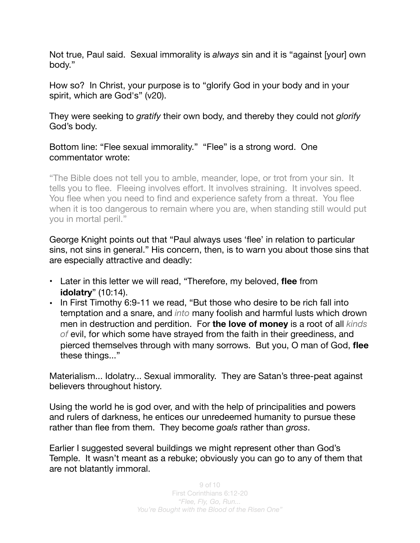Not true, Paul said. Sexual immorality is *always* sin and it is "against [your] own body."

How so? In Christ, your purpose is to "glorify God in your body and in your spirit, which are God's" (v20).

They were seeking to *gratify* their own body, and thereby they could not *glorify* God's body.

Bottom line: "Flee sexual immorality." "Flee" is a strong word. One commentator wrote:

"The Bible does not tell you to amble, meander, lope, or trot from your sin. It tells you to flee. Fleeing involves effort. It involves straining. It involves speed. You flee when you need to find and experience safety from a threat. You flee when it is too dangerous to remain where you are, when standing still would put you in mortal peril."

George Knight points out that "Paul always uses 'flee' in relation to particular sins, not sins in general." His concern, then, is to warn you about those sins that are especially attractive and deadly:

- Later in this letter we will read, "Therefore, my beloved, **flee** from **idolatry**" (10:14).
- In First Timothy 6:9-11 we read, "But those who desire to be rich fall into temptation and a snare, and *into* many foolish and harmful lusts which drown men in destruction and perdition. For **the love of money** is a root of all *kinds of* evil, for which some have strayed from the faith in their greediness, and pierced themselves through with many sorrows. But you, O man of God, **flee** these things..."

Materialism... Idolatry... Sexual immorality. They are Satan's three-peat against believers throughout history.

Using the world he is god over, and with the help of principalities and powers and rulers of darkness, he entices our unredeemed humanity to pursue these rather than flee from them. They become *goals* rather than *gross*.

Earlier I suggested several buildings we might represent other than God's Temple. It wasn't meant as a rebuke; obviously you can go to any of them that are not blatantly immoral.